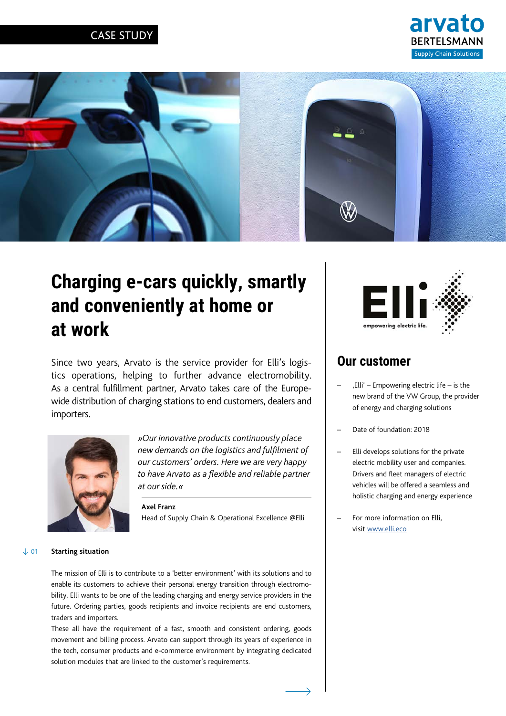### CASE STUDY





# **Charging e-cars quickly, smartly and conveniently at home or at work**

Since two years, Arvato is the service provider for Elli's logistics operations, helping to further advance electromobility. As a central fulfillment partner, Arvato takes care of the Europewide distribution of charging stations to end customers, dealers and importers.



*»Our innovative products continuously place new demands on the logistics and fulfilment of our customers' orders. Here we are very happy to have Arvato as a flexible and reliable partner at our side.«*

**Axel Franz** Head of Supply Chain & Operational Excellence @Elli



# **Our customer**

- 'Elli' Empowering electric life is the new brand of the VW Group, the provider of energy and charging solutions
- Date of foundation: 2018
- Elli develops solutions for the private electric mobility user and companies. Drivers and fleet managers of electric vehicles will be offered a seamless and holistic charging and energy experience
- For more information on Elli, visit [www.elli.eco](https://www.elli.eco)

#### **Starting situation**  $\sqrt{01}$

The mission of Elli is to contribute to a 'better environment' with its solutions and to enable its customers to achieve their personal energy transition through electromobility. Elli wants to be one of the leading charging and energy service providers in the future. Ordering parties, goods recipients and invoice recipients are end customers, traders and importers.

These all have the requirement of a fast, smooth and consistent ordering, goods movement and billing process. Arvato can support through its years of experience in the tech, consumer products and e-commerce environment by integrating dedicated solution modules that are linked to the customer's requirements.